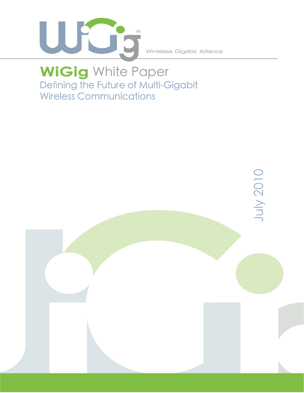

Wireless Gigabit Alliance

# Defining the Future of Multi-Gigabit Wireless Communications **WiGig** White Paper

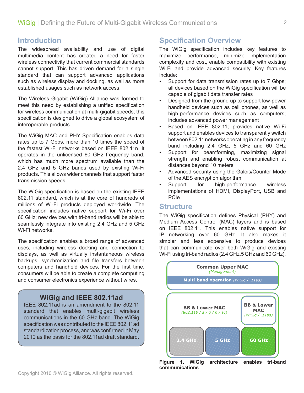## **Introduction**

The widespread availability and use of digital multimedia content has created a need for faster wireless connectivity that current commercial standards cannot support. This has driven demand for a single standard that can support advanced applications such as wireless display and docking, as well as more established usages such as network access.

The Wireless Gigabit (WiGig) Alliance was formed to meet this need by establishing a unified specification for wireless communication at multi-gigabit speeds; this specification is designed to drive a global ecosystem of interoperable products.

The WiGig MAC and PHY Specification enables data rates up to 7 Gbps, more than 10 times the speed of the fastest Wi-Fi networks based on IEEE 802.11n. It operates in the unlicensed 60 GHz frequency band, which has much more spectrum available than the 2.4 GHz and 5 GHz bands used by existing Wi-Fi products. This allows wider channels that support faster transmission speeds.

The WiGig specification is based on the existing IEEE 802.11 standard, which is at the core of hundreds of millions of Wi-Fi products deployed worldwide. The specification includes native support for Wi-Fi over 60 GHz; new devices with tri-band radios will be able to seamlessly integrate into existing 2.4 GHz and 5 GHz Wi-Fi networks.

The specification enables a broad range of advanced uses, including wireless docking and connection to displays, as well as virtually instantaneous wireless backups, synchronization and file transfers between computers and handheld devices. For the first time, consumers will be able to create a complete computing and consumer electronics experience without wires.

## **WiGig and IEEE 802.11ad**

IEEE 802.11ad is an amendment to the 802.11 standard that enables multi-gigabit wireless communications in the 60 GHz band. The WiGig specification was contributed to the IEEE 802.11ad standardization process, and was confirmed in May 2010 as the basis for the 802.11ad draft standard.

# **Specification Overview**

The WiGig specification includes key features to maximize performance, minimize implementation complexity and cost, enable compatibility with existing Wi-Fi and provide advanced security. Key features include:

- Support for data transmission rates up to 7 Gbps; all devices based on the WiGig specification will be capable of gigabit data transfer rates
- Designed from the ground up to support low-power handheld devices such as cell phones, as well as high-performance devices such as computers; includes advanced power management
- Based on IEEE 802.11; provides native Wi-Fi support and enables devices to transparently switch between 802.11 networks operating in any frequency band including 2.4 GHz, 5 GHz and 60 GHz
- Support for beamforming, maximizing signal strength and enabling robust communication at distances beyond 10 meters
- Advanced security using the Galois/Counter Mode of the AES encryption algorithm
- Support for high-performance wireless implementations of HDMI, DisplayPort, USB and PCIe

## **Structure**

The WiGig specification defines Physical (PHY) and Medium Access Control (MAC) layers and is based on IEEE 802.11. This enables native support for IP networking over 60 GHz. It also makes it simpler and less expensive to produce devices that can communicate over both WiGig and existing Wi-Fi using tri-band radios (2.4 GHz,5 GHz and 60 GHz).



**Figure 1. WiGig architecture enables tri-band communications**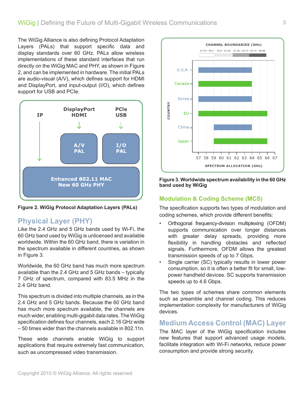The WiGig Alliance is also defining Protocol Adaptation Layers (PALs) that support specific data and display standards over 60 GHz. PALs allow wireless implementations of these standard interfaces that run directly on the WiGig MAC and PHY, as shown in Figure 2, and can be implemented in hardware. The initial PALs are audio-visual (A/V), which defines support for HDMI and DisplayPort, and input-output (I/O), which defines support for USB and PCIe.



**Figure 2. WiGig Protocol Adaptation Layers (PALs)**

# **Physical Layer (PHY)**

Like the 2.4 GHz and 5 GHz bands used by Wi-Fi, the 60 GHz band used by WiGig is unlicensed and available worldwide. Within the 60 GHz band, there is variation in the spectrum available in different countries, as shown in Figure 3.

Worldwide, the 60 GHz band has much more spectrum available than the 2.4 GHz and 5 GHz bands – typically 7 GHz of spectrum, compared with 83.5 MHz in the 2.4 GHz band.

This spectrum is divided into multiple channels, as in the 2.4 GHz and 5 GHz bands. Because the 60 GHz band has much more spectrum available, the channels are much wider, enabling multi-gigabit data rates. The WiGig specification defines four channels, each 2.16 GHz wide – 50 times wider than the channels available in 802.11n.

These wide channels enable WiGig to support applications that require extremely fast communication, such as uncompressed video transmission.



**Figure 3. Worldwide spectrum availability in the 60 GHz band used by WiGig** 

## **Modulation & Coding Scheme (MCS)**

The specification supports two types of modulation and coding schemes, which provide different benefits:

- Orthogonal frequency-division multiplexing (OFDM) supports communication over longer distances with greater delay spreads, providing more flexibility in handling obstacles and reflected signals. Furthermore, OFDM allows the greatest transmission speeds of up to 7 Gbps.
- Single carrier (SC) typically results in lower power consumption, so it is often a better fit for small, lowpower handheld devices. SC supports transmission speeds up to 4.6 Gbps.

The two types of schemes share common elements such as preamble and channel coding. This reduces implementation complexity for manufacturers of WiGig devices.

## **Medium Access Control (MAC) Layer**

The MAC layer of the WiGig specification includes new features that support advanced usage models, facilitate integration with Wi-Fi networks, reduce power consumption and provide strong security.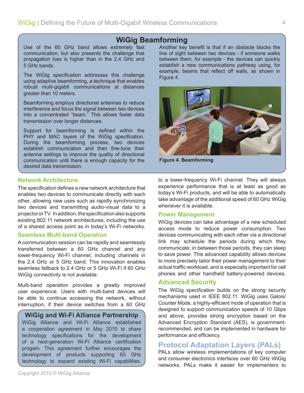## **WiGig Beamforming**

Use of the 60 GHz band allows extremely fast communication, but also presents the challenge that propagation loss is higher than in the 2.4 GHz and 5 GHz bands.

The WiGig specification addresses this challenge using adaptive beamforming, a technique that enables robust multi-gigabit communications at distances greater than 10 meters.

Beamforming employs directional antennas to reduce interference and focus the signal between two devices into a concentrated "beam." This allows faster data transmission over longer distances.

Support for beamforming is defined within the PHY and MAC layers of the WiGig specification. During the beamforming process, two devices establish communication and then fine-tune their antenna settings to improve the quality of directional communication until there is enough capacity for the desired data transmission.

#### **Network Architecture**

The specification defines a new network architecture that enables two devices to communicate directly with each other, allowing new uses such as rapidly synchronizing two devices and transmitting audio-visual data to a projector or TV. In addition, the specification also supports existing 802.11 network architectures, including the use of a shared access point as in today's Wi-Fi networks.

#### **Seamless Multi-band Operation**

A communication session can be rapidly and seamlessly transferred between a 60 GHz channel and any lower-frequency Wi-Fi channel, including channels in the 2.4 GHz or 5 GHz band. This innovation enables seamless fallback to 2.4 GHz or 5 GHz Wi-Fi if 60 GHz WiGig connectivity is not available.

Multi-band operation provides a greatly improved user experience. Users with multi-band devices will be able to continue accessing the network, without interruption, if their device switches from a 60 GHz

#### **WiGig and Wi-Fi Alliance Partnership**

WiGig Alliance and Wi-Fi Alliance established a cooperation agreement in May 2010 to share technology specifications for the development of a next-generation Wi-Fi Alliance certification progam. This agreement further encourages the development of products supporting 60 GHz technology to expand existing Wi-Fi capabilities.

Another key benefit is that if an obstacle blocks the line of sight between two devices - if someone walks between them, for example - the devices can quickly establish a new communications pathway using, for example, beams that reflect off walls, as shown in Figure 4.



**Figure 4. Beamforming**

to a lower-frequency Wi-Fi channel. They will always experience performance that is at least as good as today's Wi-Fi products, and will be able to automatically take advantage of the additional speed of 60 GHz WiGig whenever it is available.

#### **Power Management**

WiGig devices can take advantage of a new scheduled access mode to reduce power consumption. Two devices communicating with each other via a directional link may schedule the periods during which they communicate; in between those periods, they can sleep to save power. This advanced capability allows devices to more precisely tailor their power management to their actual traffic workload, and is especially important for cell phones and other handheld battery-powered devices.

#### **Advanced Security**

The WiGig specification builds on the strong security mechanisms used in IEEE 802.11. WiGig uses Galois/ Counter Mode, a highly-efficient mode of operation that is designed to support communication speeds of 10 Gbps and above, provides strong encryption based on the Advanced Encryption Standard (AES), is governmentrecommended, and can be implemented in hardware for performance and efficiency.

## **Protocol Adaptation Layers (PALs)**

PALs allow wireless implementations of key computer and consumer electronics interfaces over 60 GHz WiGig networks. PALs make it easier for implementers to